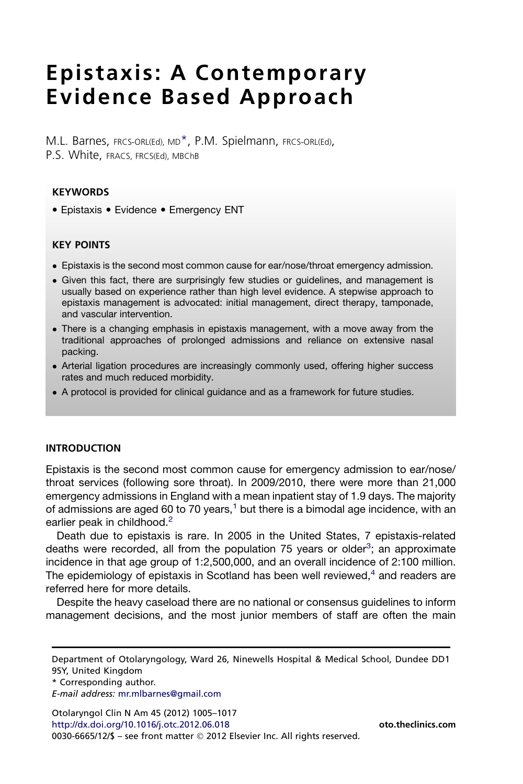# Epistaxis: A Contemporary Evidence Based Approach

M.L. Barnes, FRCS-ORL(Ed), MD\*, P.M. Spielmann, FRCS-ORL(Ed), P.S. White, FRACS, FRCS(Ed), MBChB

## **KEYWORDS**

• Epistaxis • Evidence • Emergency ENT

## KEY POINTS

- Epistaxis is the second most common cause for ear/nose/throat emergency admission.
- Given this fact, there are surprisingly few studies or guidelines, and management is usually based on experience rather than high level evidence. A stepwise approach to epistaxis management is advocated: initial management, direct therapy, tamponade, and vascular intervention.
- There is a changing emphasis in epistaxis management, with a move away from the traditional approaches of prolonged admissions and reliance on extensive nasal packing.
- Arterial ligation procedures are increasingly commonly used, offering higher success rates and much reduced morbidity.
- A protocol is provided for clinical guidance and as a framework for future studies.

#### INTRODUCTION

Epistaxis is the second most common cause for emergency admission to ear/nose/ throat services (following sore throat). In 2009/2010, there were more than 21,000 emergency admissions in England with a mean inpatient stay of 1.9 days. The majority of admissions are aged 60 to 70 years, $1$  but there is a bimodal age incidence, with an earlier peak in childhood.<sup>[2](#page-9-0)</sup>

Death due to epistaxis is rare. In 2005 in the United States, 7 epistaxis-related deaths were recorded, all from the population 75 years or older<sup>[3](#page-9-0)</sup>; an approximate incidence in that age group of 1:2,500,000, and an overall incidence of 2:100 million. The epidemiology of epistaxis in Scotland has been well reviewed, $4$  and readers are referred here for more details.

Despite the heavy caseload there are no national or consensus guidelines to inform management decisions, and the most junior members of staff are often the main

\* Corresponding author.

E-mail address: [mr.mlbarnes@gmail.com](mailto:mr.mlbarnes@gmail.com)

Otolaryngol Clin N Am 45 (2012) 1005–1017 <http://dx.doi.org/10.1016/j.otc.2012.06.018> **bluessed by a state of the [oto.theclinics.com](http://oto.theclinics.com)** 0030-6665/12/\$ – see front matter 2012 Elsevier Inc. All rights reserved.

Department of Otolaryngology, Ward 26, Ninewells Hospital & Medical School, Dundee DD1 9SY, United Kingdom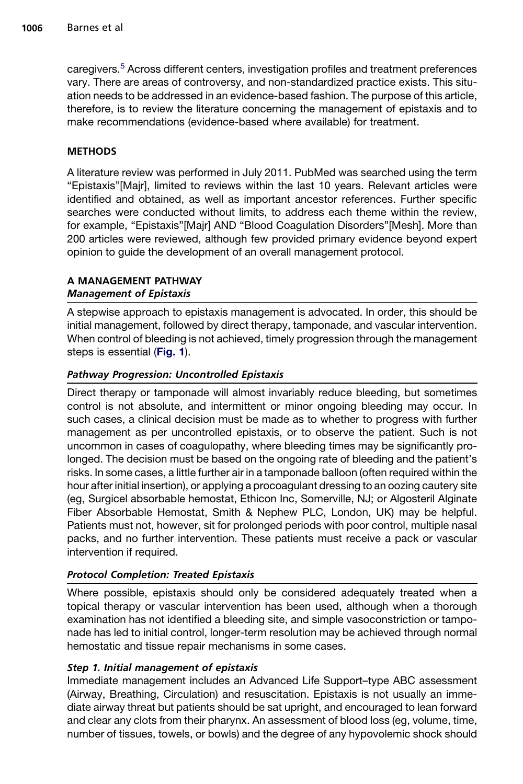caregivers.[5](#page-9-0) Across different centers, investigation profiles and treatment preferences vary. There are areas of controversy, and non-standardized practice exists. This situation needs to be addressed in an evidence-based fashion. The purpose of this article, therefore, is to review the literature concerning the management of epistaxis and to make recommendations (evidence-based where available) for treatment.

# METHODS

A literature review was performed in July 2011. PubMed was searched using the term "Epistaxis"[Majr], limited to reviews within the last 10 years. Relevant articles were identified and obtained, as well as important ancestor references. Further specific searches were conducted without limits, to address each theme within the review, for example, "Epistaxis"[Majr] AND "Blood Coagulation Disorders"[Mesh]. More than 200 articles were reviewed, although few provided primary evidence beyond expert opinion to guide the development of an overall management protocol.

# A MANAGEMENT PATHWAY Management of Epistaxis

A stepwise approach to epistaxis management is advocated. In order, this should be initial management, followed by direct therapy, tamponade, and vascular intervention. When control of bleeding is not achieved, timely progression through the management steps is essential ([Fig. 1](#page-2-0)).

# Pathway Progression: Uncontrolled Epistaxis

Direct therapy or tamponade will almost invariably reduce bleeding, but sometimes control is not absolute, and intermittent or minor ongoing bleeding may occur. In such cases, a clinical decision must be made as to whether to progress with further management as per uncontrolled epistaxis, or to observe the patient. Such is not uncommon in cases of coagulopathy, where bleeding times may be significantly prolonged. The decision must be based on the ongoing rate of bleeding and the patient's risks. In some cases, a little further air in a tamponade balloon (often required within the hour after initial insertion), or applying a procoagulant dressing to an oozing cautery site (eg, Surgicel absorbable hemostat, Ethicon Inc, Somerville, NJ; or Algosteril Alginate Fiber Absorbable Hemostat, Smith & Nephew PLC, London, UK) may be helpful. Patients must not, however, sit for prolonged periods with poor control, multiple nasal packs, and no further intervention. These patients must receive a pack or vascular intervention if required.

# Protocol Completion: Treated Epistaxis

Where possible, epistaxis should only be considered adequately treated when a topical therapy or vascular intervention has been used, although when a thorough examination has not identified a bleeding site, and simple vasoconstriction or tamponade has led to initial control, longer-term resolution may be achieved through normal hemostatic and tissue repair mechanisms in some cases.

# Step 1. Initial management of epistaxis

Immediate management includes an Advanced Life Support–type ABC assessment (Airway, Breathing, Circulation) and resuscitation. Epistaxis is not usually an immediate airway threat but patients should be sat upright, and encouraged to lean forward and clear any clots from their pharynx. An assessment of blood loss (eg, volume, time, number of tissues, towels, or bowls) and the degree of any hypovolemic shock should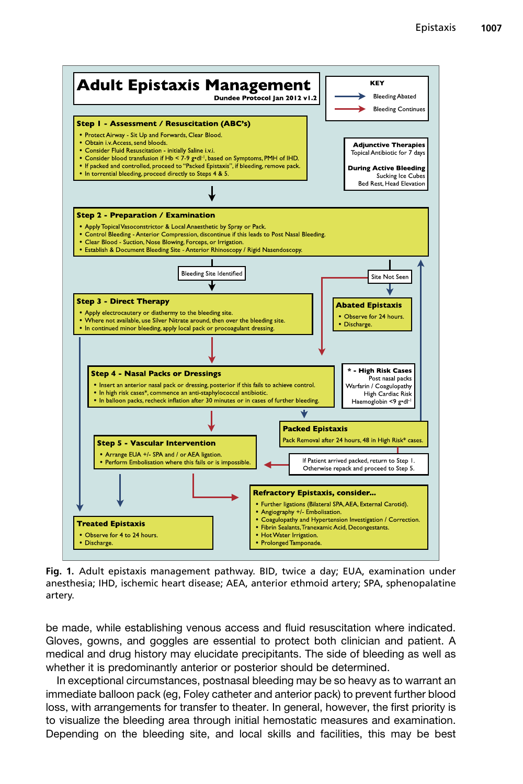<span id="page-2-0"></span>

Fig. 1. Adult epistaxis management pathway. BID, twice a day; EUA, examination under anesthesia; IHD, ischemic heart disease; AEA, anterior ethmoid artery; SPA, sphenopalatine artery.

be made, while establishing venous access and fluid resuscitation where indicated. Gloves, gowns, and goggles are essential to protect both clinician and patient. A medical and drug history may elucidate precipitants. The side of bleeding as well as whether it is predominantly anterior or posterior should be determined.

In exceptional circumstances, postnasal bleeding may be so heavy as to warrant an immediate balloon pack (eg, Foley catheter and anterior pack) to prevent further blood loss, with arrangements for transfer to theater. In general, however, the first priority is to visualize the bleeding area through initial hemostatic measures and examination. Depending on the bleeding site, and local skills and facilities, this may be best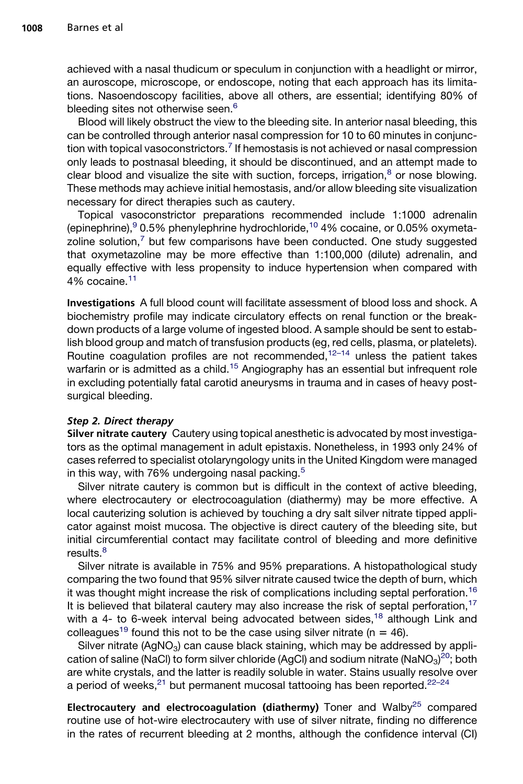achieved with a nasal thudicum or speculum in conjunction with a headlight or mirror, an auroscope, microscope, or endoscope, noting that each approach has its limitations. Nasoendoscopy facilities, above all others, are essential; identifying 80% of bleeding sites not otherwise seen.<sup>[6](#page-9-0)</sup>

Blood will likely obstruct the view to the bleeding site. In anterior nasal bleeding, this can be controlled through anterior nasal compression for 10 to 60 minutes in conjunc-tion with topical vasoconstrictors.<sup>[7](#page-9-0)</sup> If hemostasis is not achieved or nasal compression only leads to postnasal bleeding, it should be discontinued, and an attempt made to clear blood and visualize the site with suction, forceps, irrigation, $8$  or nose blowing. These methods may achieve initial hemostasis, and/or allow bleeding site visualization necessary for direct therapies such as cautery.

Topical vasoconstrictor preparations recommended include 1:1000 adrenalin (epinephrine), $90.5\%$  $90.5\%$  phenylephrine hydrochloride,<sup>[10](#page-9-0)</sup> 4% cocaine, or 0.05% oxymetazoline solution, $<sup>7</sup>$  $<sup>7</sup>$  $<sup>7</sup>$  but few comparisons have been conducted. One study suggested</sup> that oxymetazoline may be more effective than 1:100,000 (dilute) adrenalin, and equally effective with less propensity to induce hypertension when compared with 4% cocaine.[11](#page-9-0)

Investigations A full blood count will facilitate assessment of blood loss and shock. A biochemistry profile may indicate circulatory effects on renal function or the breakdown products of a large volume of ingested blood. A sample should be sent to establish blood group and match of transfusion products (eg, red cells, plasma, or platelets). Routine coagulation profiles are not recommended, $12-14$  unless the patient takes warfarin or is admitted as a child.<sup>[15](#page-9-0)</sup> Angiography has an essential but infrequent role in excluding potentially fatal carotid aneurysms in trauma and in cases of heavy postsurgical bleeding.

## Step 2. Direct therapy

Silver nitrate cautery Cautery using topical anesthetic is advocated by most investigators as the optimal management in adult epistaxis. Nonetheless, in 1993 only 24% of cases referred to specialist otolaryngology units in the United Kingdom were managed in this way, with 76% undergoing nasal packing. $5$ 

Silver nitrate cautery is common but is difficult in the context of active bleeding, where electrocautery or electrocoagulation (diathermy) may be more effective. A local cauterizing solution is achieved by touching a dry salt silver nitrate tipped applicator against moist mucosa. The objective is direct cautery of the bleeding site, but initial circumferential contact may facilitate control of bleeding and more definitive results.<sup>[8](#page-9-0)</sup>

Silver nitrate is available in 75% and 95% preparations. A histopathological study comparing the two found that 95% silver nitrate caused twice the depth of burn, which it was thought might increase the risk of complications including septal perforation.<sup>[16](#page-9-0)</sup> It is believed that bilateral cautery may also increase the risk of septal perforation,<sup>[17](#page-9-0)</sup> with a 4- to 6-week interval being advocated between sides,<sup>[18](#page-9-0)</sup> although Link and colleagues<sup>[19](#page-9-0)</sup> found this not to be the case using silver nitrate ( $n = 46$ ).

Silver nitrate  $(AgNO<sub>3</sub>)$  can cause black staining, which may be addressed by application of saline (NaCl) to form silver chloride (AgCl) and sodium nitrate (NaNO $_3)^{20}$ ; both are white crystals, and the latter is readily soluble in water. Stains usually resolve over a period of weeks, $21$  but permanent mucosal tattooing has been reported. $22-24$ 

Electrocautery and electrocoagulation (diathermy) Toner and Walby $^{25}$  $^{25}$  $^{25}$  compared routine use of hot-wire electrocautery with use of silver nitrate, finding no difference in the rates of recurrent bleeding at 2 months, although the confidence interval (CI)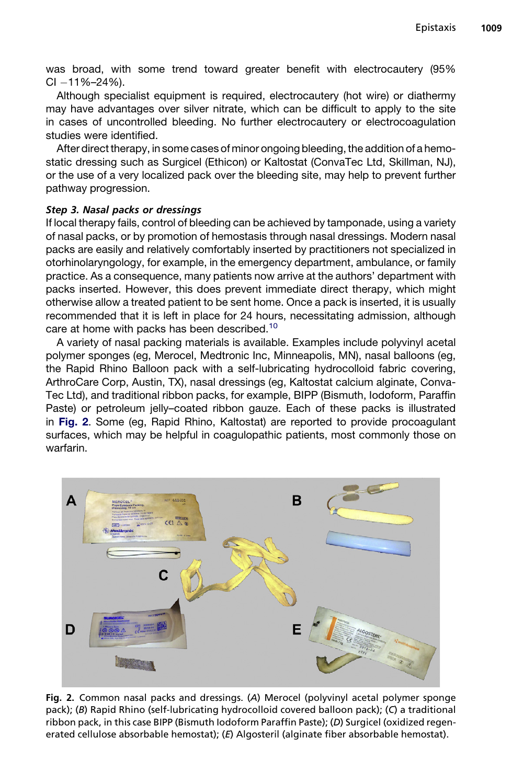was broad, with some trend toward greater benefit with electrocautery (95%  $CI - 11\% - 24\%$ ).

Although specialist equipment is required, electrocautery (hot wire) or diathermy may have advantages over silver nitrate, which can be difficult to apply to the site in cases of uncontrolled bleeding. No further electrocautery or electrocoagulation studies were identified.

After direct therapy, in some cases of minor ongoing bleeding, the addition of a hemostatic dressing such as Surgicel (Ethicon) or Kaltostat (ConvaTec Ltd, Skillman, NJ), or the use of a very localized pack over the bleeding site, may help to prevent further pathway progression.

## Step 3. Nasal packs or dressings

If local therapy fails, control of bleeding can be achieved by tamponade, using a variety of nasal packs, or by promotion of hemostasis through nasal dressings. Modern nasal packs are easily and relatively comfortably inserted by practitioners not specialized in otorhinolaryngology, for example, in the emergency department, ambulance, or family practice. As a consequence, many patients now arrive at the authors' department with packs inserted. However, this does prevent immediate direct therapy, which might otherwise allow a treated patient to be sent home. Once a pack is inserted, it is usually recommended that it is left in place for 24 hours, necessitating admission, although care at home with packs has been described.<sup>[10](#page-9-0)</sup>

A variety of nasal packing materials is available. Examples include polyvinyl acetal polymer sponges (eg, Merocel, Medtronic Inc, Minneapolis, MN), nasal balloons (eg, the Rapid Rhino Balloon pack with a self-lubricating hydrocolloid fabric covering, ArthroCare Corp, Austin, TX), nasal dressings (eg, Kaltostat calcium alginate, Conva-Tec Ltd), and traditional ribbon packs, for example, BIPP (Bismuth, Iodoform, Paraffin Paste) or petroleum jelly–coated ribbon gauze. Each of these packs is illustrated in Fig. 2. Some (eg, Rapid Rhino, Kaltostat) are reported to provide procoagulant surfaces, which may be helpful in coagulopathic patients, most commonly those on warfarin.



Fig. 2. Common nasal packs and dressings. (A) Merocel (polyvinyl acetal polymer sponge pack); (B) Rapid Rhino (self-lubricating hydrocolloid covered balloon pack); (C) a traditional ribbon pack, in this case BIPP (Bismuth Iodoform Paraffin Paste); (D) Surgicel (oxidized regenerated cellulose absorbable hemostat); (E) Algosteril (alginate fiber absorbable hemostat).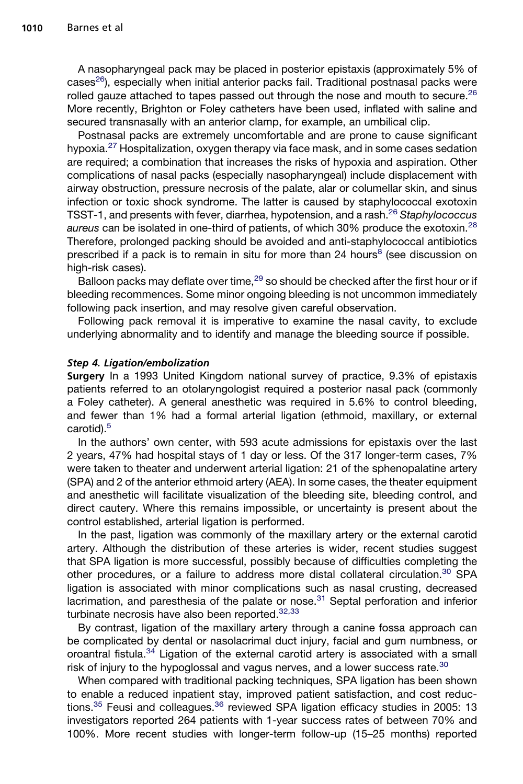A nasopharyngeal pack may be placed in posterior epistaxis (approximately 5% of  $cases^{\circ 6}$ , especially when initial anterior packs fail. Traditional postnasal packs were rolled gauze attached to tapes passed out through the nose and mouth to secure.<sup>[26](#page-10-0)</sup> More recently, Brighton or Foley catheters have been used, inflated with saline and secured transnasally with an anterior clamp, for example, an umbilical clip.

Postnasal packs are extremely uncomfortable and are prone to cause significant hypoxia.[27](#page-10-0) Hospitalization, oxygen therapy via face mask, and in some cases sedation are required; a combination that increases the risks of hypoxia and aspiration. Other complications of nasal packs (especially nasopharyngeal) include displacement with airway obstruction, pressure necrosis of the palate, alar or columellar skin, and sinus infection or toxic shock syndrome. The latter is caused by staphylococcal exotoxin TSST-1, and presents with fever, diarrhea, hypotension, and a rash.[26](#page-10-0) *Staphylococcus aureus* can be isolated in one-third of patients, of which 30% produce the exotoxin.[28](#page-10-0) Therefore, prolonged packing should be avoided and anti-staphylococcal antibiotics prescribed if a pack is to remain in situ for more than  $24$  hours<sup>[8](#page-9-0)</sup> (see discussion on high-risk cases).

Balloon packs may deflate over time, $^{29}$  $^{29}$  $^{29}$  so should be checked after the first hour or if bleeding recommences. Some minor ongoing bleeding is not uncommon immediately following pack insertion, and may resolve given careful observation.

Following pack removal it is imperative to examine the nasal cavity, to exclude underlying abnormality and to identify and manage the bleeding source if possible.

#### Step 4. Ligation/embolization

Surgery In a 1993 United Kingdom national survey of practice, 9.3% of epistaxis patients referred to an otolaryngologist required a posterior nasal pack (commonly a Foley catheter). A general anesthetic was required in 5.6% to control bleeding, and fewer than 1% had a formal arterial ligation (ethmoid, maxillary, or external carotid).<sup>[5](#page-9-0)</sup>

In the authors' own center, with 593 acute admissions for epistaxis over the last 2 years, 47% had hospital stays of 1 day or less. Of the 317 longer-term cases, 7% were taken to theater and underwent arterial ligation: 21 of the sphenopalatine artery (SPA) and 2 of the anterior ethmoid artery (AEA). In some cases, the theater equipment and anesthetic will facilitate visualization of the bleeding site, bleeding control, and direct cautery. Where this remains impossible, or uncertainty is present about the control established, arterial ligation is performed.

In the past, ligation was commonly of the maxillary artery or the external carotid artery. Although the distribution of these arteries is wider, recent studies suggest that SPA ligation is more successful, possibly because of difficulties completing the other procedures, or a failure to address more distal collateral circulation.<sup>[30](#page-10-0)</sup> SPA ligation is associated with minor complications such as nasal crusting, decreased lacrimation, and paresthesia of the palate or nose.<sup>[31](#page-10-0)</sup> Septal perforation and inferior turbinate necrosis have also been reported.<sup>[32,33](#page-10-0)</sup>

By contrast, ligation of the maxillary artery through a canine fossa approach can be complicated by dental or nasolacrimal duct injury, facial and gum numbness, or oroantral fistula.<sup>[34](#page-10-0)</sup> Ligation of the external carotid artery is associated with a small risk of injury to the hypoglossal and vagus nerves, and a lower success rate. $30$ 

When compared with traditional packing techniques, SPA ligation has been shown to enable a reduced inpatient stay, improved patient satisfaction, and cost reductions. $35$  Feusi and colleagues. $36$  reviewed SPA ligation efficacy studies in 2005: 13 investigators reported 264 patients with 1-year success rates of between 70% and 100%. More recent studies with longer-term follow-up (15–25 months) reported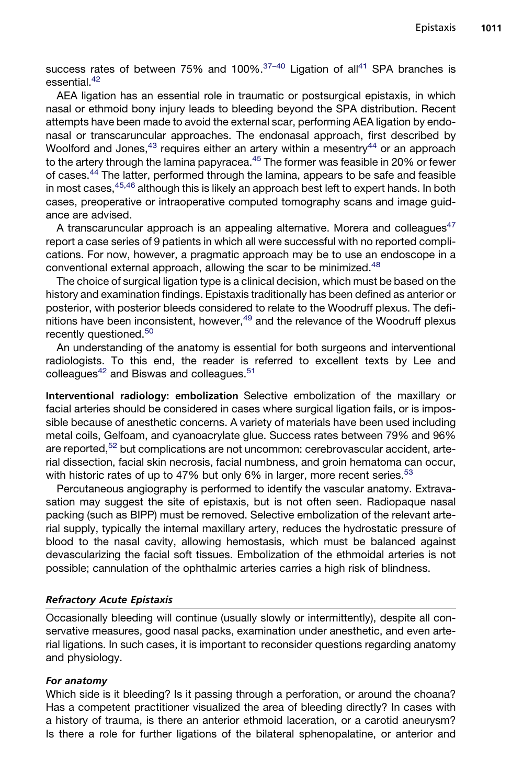success rates of between 75% and 100%. $37-40$  Ligation of all<sup>[41](#page-10-0)</sup> SPA branches is essential.<sup>[42](#page-10-0)</sup>

AEA ligation has an essential role in traumatic or postsurgical epistaxis, in which nasal or ethmoid bony injury leads to bleeding beyond the SPA distribution. Recent attempts have been made to avoid the external scar, performing AEA ligation by endonasal or transcaruncular approaches. The endonasal approach, first described by Woolford and Jones,  $43$  requires either an artery within a mesentry  $44$  or an approach to the artery through the lamina papyracea.<sup>[45](#page-11-0)</sup> The former was feasible in 20% or fewer of cases.[44](#page-11-0) The latter, performed through the lamina, appears to be safe and feasible in most cases, <sup>[45,46](#page-11-0)</sup> although this is likely an approach best left to expert hands. In both cases, preoperative or intraoperative computed tomography scans and image guidance are advised.

A transcaruncular approach is an appealing alternative. Morera and colleagues $47$ report a case series of 9 patients in which all were successful with no reported complications. For now, however, a pragmatic approach may be to use an endoscope in a conventional external approach, allowing the scar to be minimized.[48](#page-11-0)

The choice of surgical ligation type is a clinical decision, which must be based on the history and examination findings. Epistaxis traditionally has been defined as anterior or posterior, with posterior bleeds considered to relate to the Woodruff plexus. The definitions have been inconsistent, however, $49$  and the relevance of the Woodruff plexus recently questioned.<sup>[50](#page-11-0)</sup>

An understanding of the anatomy is essential for both surgeons and interventional radiologists. To this end, the reader is referred to excellent texts by Lee and colleagues<sup>[42](#page-10-0)</sup> and Biswas and colleagues. $51$ 

Interventional radiology: embolization Selective embolization of the maxillary or facial arteries should be considered in cases where surgical ligation fails, or is impossible because of anesthetic concerns. A variety of materials have been used including metal coils, Gelfoam, and cyanoacrylate glue. Success rates between 79% and 96% are reported.<sup>[52](#page-11-0)</sup> but complications are not uncommon: cerebrovascular accident, arterial dissection, facial skin necrosis, facial numbness, and groin hematoma can occur, with historic rates of up to 47% but only 6% in larger, more recent series.<sup>[53](#page-11-0)</sup>

Percutaneous angiography is performed to identify the vascular anatomy. Extravasation may suggest the site of epistaxis, but is not often seen. Radiopaque nasal packing (such as BIPP) must be removed. Selective embolization of the relevant arterial supply, typically the internal maxillary artery, reduces the hydrostatic pressure of blood to the nasal cavity, allowing hemostasis, which must be balanced against devascularizing the facial soft tissues. Embolization of the ethmoidal arteries is not possible; cannulation of the ophthalmic arteries carries a high risk of blindness.

#### Refractory Acute Epistaxis

Occasionally bleeding will continue (usually slowly or intermittently), despite all conservative measures, good nasal packs, examination under anesthetic, and even arterial ligations. In such cases, it is important to reconsider questions regarding anatomy and physiology.

#### For anatomy

Which side is it bleeding? Is it passing through a perforation, or around the choana? Has a competent practitioner visualized the area of bleeding directly? In cases with a history of trauma, is there an anterior ethmoid laceration, or a carotid aneurysm? Is there a role for further ligations of the bilateral sphenopalatine, or anterior and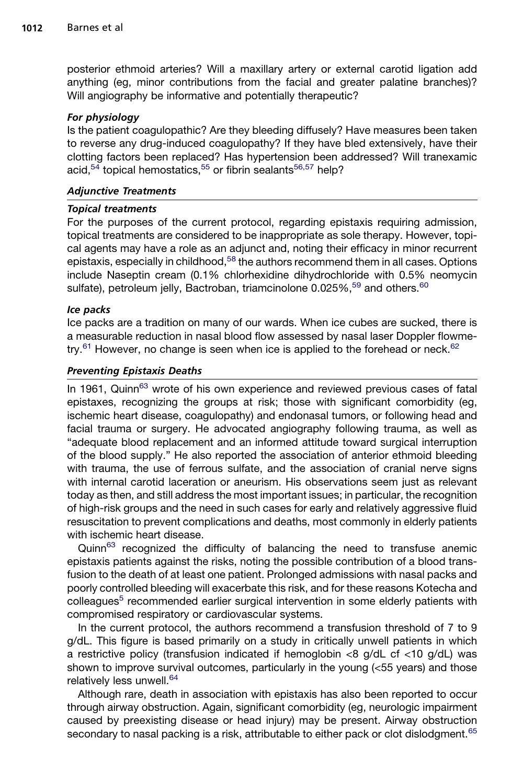posterior ethmoid arteries? Will a maxillary artery or external carotid ligation add anything (eg, minor contributions from the facial and greater palatine branches)? Will angiography be informative and potentially therapeutic?

## For physiology

Is the patient coagulopathic? Are they bleeding diffusely? Have measures been taken to reverse any drug-induced coagulopathy? If they have bled extensively, have their clotting factors been replaced? Has hypertension been addressed? Will tranexamic acid,<sup>[54](#page-11-0)</sup> topical hemostatics,<sup>[55](#page-11-0)</sup> or fibrin sealants<sup>[56,57](#page-11-0)</sup> help?

## Adjunctive Treatments

## Topical treatments

For the purposes of the current protocol, regarding epistaxis requiring admission, topical treatments are considered to be inappropriate as sole therapy. However, topical agents may have a role as an adjunct and, noting their efficacy in minor recurrent epistaxis, especially in childhood,<sup>[58](#page-11-0)</sup> the authors recommend them in all cases. Options include Naseptin cream (0.1% chlorhexidine dihydrochloride with 0.5% neomycin sulfate), petroleum jelly, Bactroban, triamcinolone 0.025%,<sup>[59](#page-11-0)</sup> and others.<sup>[60](#page-11-0)</sup>

## Ice packs

Ice packs are a tradition on many of our wards. When ice cubes are sucked, there is a measurable reduction in nasal blood flow assessed by nasal laser Doppler flowme-try.<sup>[61](#page-11-0)</sup> However, no change is seen when ice is applied to the forehead or neck.<sup>62</sup>

# Preventing Epistaxis Deaths

In 1961, Quinn<sup>63</sup> wrote of his own experience and reviewed previous cases of fatal epistaxes, recognizing the groups at risk; those with significant comorbidity (eg, ischemic heart disease, coagulopathy) and endonasal tumors, or following head and facial trauma or surgery. He advocated angiography following trauma, as well as "adequate blood replacement and an informed attitude toward surgical interruption of the blood supply." He also reported the association of anterior ethmoid bleeding with trauma, the use of ferrous sulfate, and the association of cranial nerve signs with internal carotid laceration or aneurism. His observations seem just as relevant today as then, and still address the most important issues; in particular, the recognition of high-risk groups and the need in such cases for early and relatively aggressive fluid resuscitation to prevent complications and deaths, most commonly in elderly patients with ischemic heart disease.

Quinn<sup>[63](#page-11-0)</sup> recognized the difficulty of balancing the need to transfuse anemic epistaxis patients against the risks, noting the possible contribution of a blood transfusion to the death of at least one patient. Prolonged admissions with nasal packs and poorly controlled bleeding will exacerbate this risk, and for these reasons Kotecha and colleagues<sup>[5](#page-9-0)</sup> recommended earlier surgical intervention in some elderly patients with compromised respiratory or cardiovascular systems.

In the current protocol, the authors recommend a transfusion threshold of 7 to 9 g/dL. This figure is based primarily on a study in critically unwell patients in which a restrictive policy (transfusion indicated if hemoglobin <8 g/dL cf <10 g/dL) was shown to improve survival outcomes, particularly in the young (<55 years) and those relatively less unwell.<sup>[64](#page-11-0)</sup>

Although rare, death in association with epistaxis has also been reported to occur through airway obstruction. Again, significant comorbidity (eg, neurologic impairment caused by preexisting disease or head injury) may be present. Airway obstruction secondary to nasal packing is a risk, attributable to either pack or clot dislodgment.<sup>[65](#page-12-0)</sup>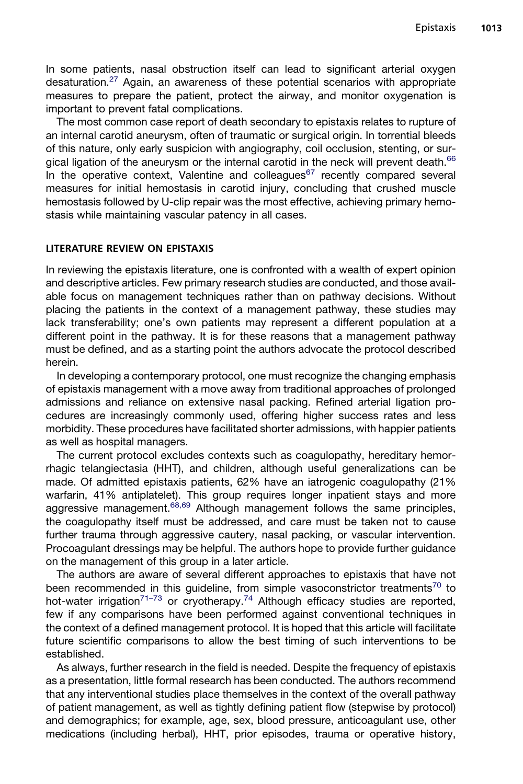In some patients, nasal obstruction itself can lead to significant arterial oxygen desaturation.[27](#page-10-0) Again, an awareness of these potential scenarios with appropriate measures to prepare the patient, protect the airway, and monitor oxygenation is important to prevent fatal complications.

The most common case report of death secondary to epistaxis relates to rupture of an internal carotid aneurysm, often of traumatic or surgical origin. In torrential bleeds of this nature, only early suspicion with angiography, coil occlusion, stenting, or sur-gical ligation of the aneurysm or the internal carotid in the neck will prevent death.<sup>[66](#page-12-0)</sup> In the operative context, Valentine and colleagues $67$  recently compared several measures for initial hemostasis in carotid injury, concluding that crushed muscle hemostasis followed by U-clip repair was the most effective, achieving primary hemostasis while maintaining vascular patency in all cases.

#### LITERATURE REVIEW ON EPISTAXIS

In reviewing the epistaxis literature, one is confronted with a wealth of expert opinion and descriptive articles. Few primary research studies are conducted, and those available focus on management techniques rather than on pathway decisions. Without placing the patients in the context of a management pathway, these studies may lack transferability; one's own patients may represent a different population at a different point in the pathway. It is for these reasons that a management pathway must be defined, and as a starting point the authors advocate the protocol described herein.

In developing a contemporary protocol, one must recognize the changing emphasis of epistaxis management with a move away from traditional approaches of prolonged admissions and reliance on extensive nasal packing. Refined arterial ligation procedures are increasingly commonly used, offering higher success rates and less morbidity. These procedures have facilitated shorter admissions, with happier patients as well as hospital managers.

The current protocol excludes contexts such as coagulopathy, hereditary hemorrhagic telangiectasia (HHT), and children, although useful generalizations can be made. Of admitted epistaxis patients, 62% have an iatrogenic coagulopathy (21% warfarin, 41% antiplatelet). This group requires longer inpatient stays and more aggressive management.<sup>[68,69](#page-12-0)</sup> Although management follows the same principles, the coagulopathy itself must be addressed, and care must be taken not to cause further trauma through aggressive cautery, nasal packing, or vascular intervention. Procoagulant dressings may be helpful. The authors hope to provide further guidance on the management of this group in a later article.

The authors are aware of several different approaches to epistaxis that have not been recommended in this guideline, from simple vasoconstrictor treatments<sup>[70](#page-12-0)</sup> to hot-water irrigation<sup>71-73</sup> or cryotherapy.<sup>[74](#page-12-0)</sup> Although efficacy studies are reported, few if any comparisons have been performed against conventional techniques in the context of a defined management protocol. It is hoped that this article will facilitate future scientific comparisons to allow the best timing of such interventions to be established.

As always, further research in the field is needed. Despite the frequency of epistaxis as a presentation, little formal research has been conducted. The authors recommend that any interventional studies place themselves in the context of the overall pathway of patient management, as well as tightly defining patient flow (stepwise by protocol) and demographics; for example, age, sex, blood pressure, anticoagulant use, other medications (including herbal), HHT, prior episodes, trauma or operative history,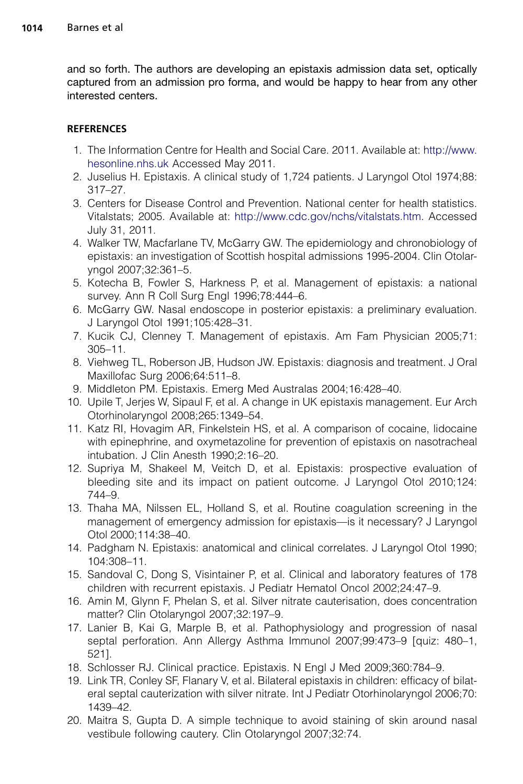<span id="page-9-0"></span>and so forth. The authors are developing an epistaxis admission data set, optically captured from an admission pro forma, and would be happy to hear from any other interested centers.

# **REFERENCES**

- 1. The Information Centre for Health and Social Care. 2011. Available at: [http://www.](http://www.hesonline.nhs.uk) [hesonline.nhs.uk](http://www.hesonline.nhs.uk) Accessed May 2011.
- 2. Juselius H. Epistaxis. A clinical study of 1,724 patients. J Laryngol Otol 1974;88: 317–27.
- 3. Centers for Disease Control and Prevention. National center for health statistics. Vitalstats; 2005. Available at: [http://www.cdc.gov/nchs/vitalstats.htm.](http://www.cdc.gov/nchs/vitalstats.htm) Accessed July 31, 2011.
- 4. Walker TW, Macfarlane TV, McGarry GW. The epidemiology and chronobiology of epistaxis: an investigation of Scottish hospital admissions 1995-2004. Clin Otolaryngol 2007;32:361–5.
- 5. Kotecha B, Fowler S, Harkness P, et al. Management of epistaxis: a national survey. Ann R Coll Surg Engl 1996;78:444–6.
- 6. McGarry GW. Nasal endoscope in posterior epistaxis: a preliminary evaluation. J Laryngol Otol 1991;105:428–31.
- 7. Kucik CJ, Clenney T. Management of epistaxis. Am Fam Physician 2005;71: 305–11.
- 8. Viehweg TL, Roberson JB, Hudson JW. Epistaxis: diagnosis and treatment. J Oral Maxillofac Surg 2006;64:511–8.
- 9. Middleton PM. Epistaxis. Emerg Med Australas 2004;16:428–40.
- 10. Upile T, Jerjes W, Sipaul F, et al. A change in UK epistaxis management. Eur Arch Otorhinolaryngol 2008;265:1349–54.
- 11. Katz RI, Hovagim AR, Finkelstein HS, et al. A comparison of cocaine, lidocaine with epinephrine, and oxymetazoline for prevention of epistaxis on nasotracheal intubation. J Clin Anesth 1990;2:16–20.
- 12. Supriya M, Shakeel M, Veitch D, et al. Epistaxis: prospective evaluation of bleeding site and its impact on patient outcome. J Laryngol Otol 2010;124: 744–9.
- 13. Thaha MA, Nilssen EL, Holland S, et al. Routine coagulation screening in the management of emergency admission for epistaxis—is it necessary? J Laryngol Otol 2000;114:38–40.
- 14. Padgham N. Epistaxis: anatomical and clinical correlates. J Laryngol Otol 1990; 104:308–11.
- 15. Sandoval C, Dong S, Visintainer P, et al. Clinical and laboratory features of 178 children with recurrent epistaxis. J Pediatr Hematol Oncol 2002;24:47–9.
- 16. Amin M, Glynn F, Phelan S, et al. Silver nitrate cauterisation, does concentration matter? Clin Otolaryngol 2007;32:197–9.
- 17. Lanier B, Kai G, Marple B, et al. Pathophysiology and progression of nasal septal perforation. Ann Allergy Asthma Immunol 2007;99:473–9 [quiz: 480–1, 521].
- 18. Schlosser RJ. Clinical practice. Epistaxis. N Engl J Med 2009;360:784–9.
- 19. Link TR, Conley SF, Flanary V, et al. Bilateral epistaxis in children: efficacy of bilateral septal cauterization with silver nitrate. Int J Pediatr Otorhinolaryngol 2006;70: 1439–42.
- 20. Maitra S, Gupta D. A simple technique to avoid staining of skin around nasal vestibule following cautery. Clin Otolaryngol 2007;32:74.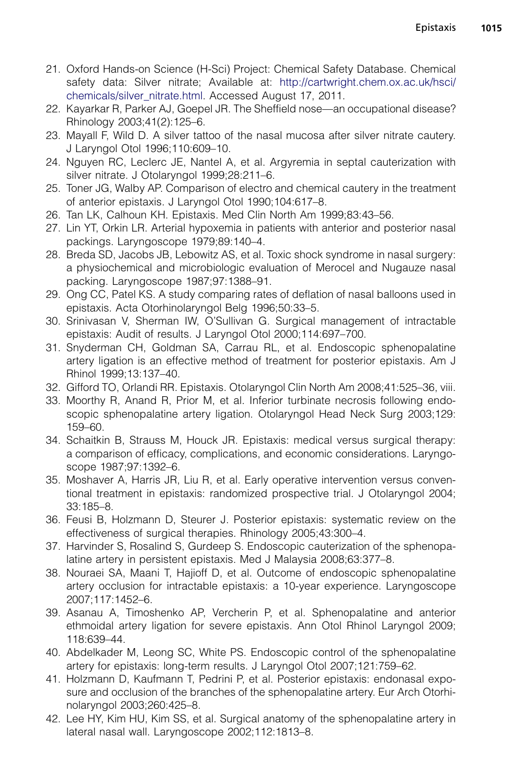- <span id="page-10-0"></span>21. Oxford Hands-on Science (H-Sci) Project: Chemical Safety Database. Chemical safety data: Silver nitrate; Available at: [http://cartwright.chem.ox.ac.uk/hsci/](http://cartwright.chem.ox.ac.uk/hsci/chemicals/silver_nitrate.html) [chemicals/silver\\_nitrate.html](http://cartwright.chem.ox.ac.uk/hsci/chemicals/silver_nitrate.html). Accessed August 17, 2011.
- 22. Kayarkar R, Parker AJ, Goepel JR. The Sheffield nose—an occupational disease? Rhinology 2003;41(2):125–6.
- 23. Mayall F, Wild D. A silver tattoo of the nasal mucosa after silver nitrate cautery. J Laryngol Otol 1996;110:609–10.
- 24. Nguyen RC, Leclerc JE, Nantel A, et al. Argyremia in septal cauterization with silver nitrate. J Otolaryngol 1999;28:211–6.
- 25. Toner JG, Walby AP. Comparison of electro and chemical cautery in the treatment of anterior epistaxis. J Laryngol Otol 1990;104:617–8.
- 26. Tan LK, Calhoun KH. Epistaxis. Med Clin North Am 1999;83:43–56.
- 27. Lin YT, Orkin LR. Arterial hypoxemia in patients with anterior and posterior nasal packings. Laryngoscope 1979;89:140–4.
- 28. Breda SD, Jacobs JB, Lebowitz AS, et al. Toxic shock syndrome in nasal surgery: a physiochemical and microbiologic evaluation of Merocel and Nugauze nasal packing. Laryngoscope 1987;97:1388–91.
- 29. Ong CC, Patel KS. A study comparing rates of deflation of nasal balloons used in epistaxis. Acta Otorhinolaryngol Belg 1996;50:33–5.
- 30. Srinivasan V, Sherman IW, O'Sullivan G. Surgical management of intractable epistaxis: Audit of results. J Laryngol Otol 2000;114:697–700.
- 31. Snyderman CH, Goldman SA, Carrau RL, et al. Endoscopic sphenopalatine artery ligation is an effective method of treatment for posterior epistaxis. Am J Rhinol 1999;13:137–40.
- 32. Gifford TO, Orlandi RR. Epistaxis. Otolaryngol Clin North Am 2008;41:525–36, viii.
- 33. Moorthy R, Anand R, Prior M, et al. Inferior turbinate necrosis following endoscopic sphenopalatine artery ligation. Otolaryngol Head Neck Surg 2003;129: 159–60.
- 34. Schaitkin B, Strauss M, Houck JR. Epistaxis: medical versus surgical therapy: a comparison of efficacy, complications, and economic considerations. Laryngoscope 1987;97:1392–6.
- 35. Moshaver A, Harris JR, Liu R, et al. Early operative intervention versus conventional treatment in epistaxis: randomized prospective trial. J Otolaryngol 2004; 33:185–8.
- 36. Feusi B, Holzmann D, Steurer J. Posterior epistaxis: systematic review on the effectiveness of surgical therapies. Rhinology 2005;43:300–4.
- 37. Harvinder S, Rosalind S, Gurdeep S. Endoscopic cauterization of the sphenopalatine artery in persistent epistaxis. Med J Malaysia 2008;63:377–8.
- 38. Nouraei SA, Maani T, Hajioff D, et al. Outcome of endoscopic sphenopalatine artery occlusion for intractable epistaxis: a 10-year experience. Laryngoscope 2007;117:1452–6.
- 39. Asanau A, Timoshenko AP, Vercherin P, et al. Sphenopalatine and anterior ethmoidal artery ligation for severe epistaxis. Ann Otol Rhinol Laryngol 2009; 118:639–44.
- 40. Abdelkader M, Leong SC, White PS. Endoscopic control of the sphenopalatine artery for epistaxis: long-term results. J Laryngol Otol 2007;121:759–62.
- 41. Holzmann D, Kaufmann T, Pedrini P, et al. Posterior epistaxis: endonasal exposure and occlusion of the branches of the sphenopalatine artery. Eur Arch Otorhinolaryngol 2003;260:425–8.
- 42. Lee HY, Kim HU, Kim SS, et al. Surgical anatomy of the sphenopalatine artery in lateral nasal wall. Laryngoscope 2002;112:1813–8.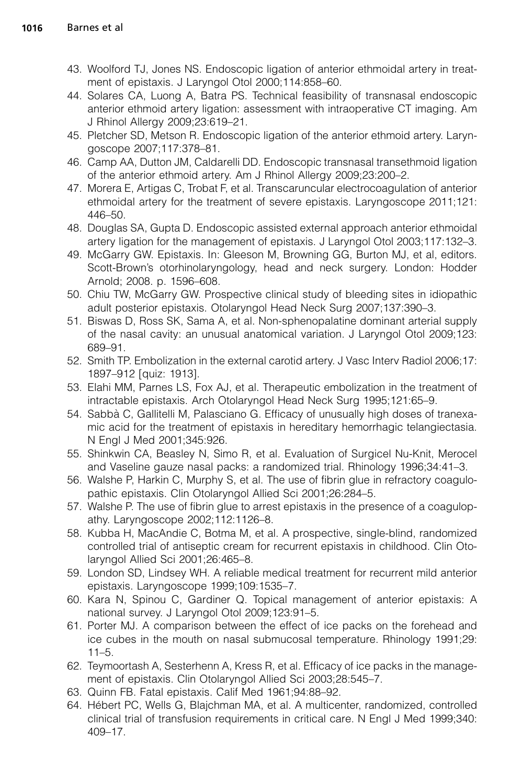- <span id="page-11-0"></span>43. Woolford TJ, Jones NS. Endoscopic ligation of anterior ethmoidal artery in treatment of epistaxis. J Laryngol Otol 2000;114:858–60.
- 44. Solares CA, Luong A, Batra PS. Technical feasibility of transnasal endoscopic anterior ethmoid artery ligation: assessment with intraoperative CT imaging. Am J Rhinol Allergy 2009;23:619–21.
- 45. Pletcher SD, Metson R. Endoscopic ligation of the anterior ethmoid artery. Laryngoscope 2007;117:378–81.
- 46. Camp AA, Dutton JM, Caldarelli DD. Endoscopic transnasal transethmoid ligation of the anterior ethmoid artery. Am J Rhinol Allergy 2009;23:200–2.
- 47. Morera E, Artigas C, Trobat F, et al. Transcaruncular electrocoagulation of anterior ethmoidal artery for the treatment of severe epistaxis. Laryngoscope 2011;121: 446–50.
- 48. Douglas SA, Gupta D. Endoscopic assisted external approach anterior ethmoidal artery ligation for the management of epistaxis. J Laryngol Otol 2003;117:132–3.
- 49. McGarry GW. Epistaxis. In: Gleeson M, Browning GG, Burton MJ, et al, editors. Scott-Brown's otorhinolaryngology, head and neck surgery. London: Hodder Arnold; 2008. p. 1596–608.
- 50. Chiu TW, McGarry GW. Prospective clinical study of bleeding sites in idiopathic adult posterior epistaxis. Otolaryngol Head Neck Surg 2007;137:390–3.
- 51. Biswas D, Ross SK, Sama A, et al. Non-sphenopalatine dominant arterial supply of the nasal cavity: an unusual anatomical variation. J Laryngol Otol 2009;123: 689–91.
- 52. Smith TP. Embolization in the external carotid artery. J Vasc Interv Radiol 2006;17: 1897–912 [quiz: 1913].
- 53. Elahi MM, Parnes LS, Fox AJ, et al. Therapeutic embolization in the treatment of intractable epistaxis. Arch Otolaryngol Head Neck Surg 1995;121:65–9.
- 54. Sabbà C, Gallitelli M, Palasciano G. Efficacy of unusually high doses of tranexamic acid for the treatment of epistaxis in hereditary hemorrhagic telangiectasia. N Engl J Med 2001;345:926.
- 55. Shinkwin CA, Beasley N, Simo R, et al. Evaluation of Surgicel Nu-Knit, Merocel and Vaseline gauze nasal packs: a randomized trial. Rhinology 1996;34:41–3.
- 56. Walshe P, Harkin C, Murphy S, et al. The use of fibrin glue in refractory coagulopathic epistaxis. Clin Otolaryngol Allied Sci 2001;26:284–5.
- 57. Walshe P. The use of fibrin glue to arrest epistaxis in the presence of a coagulopathy. Laryngoscope 2002;112:1126–8.
- 58. Kubba H, MacAndie C, Botma M, et al. A prospective, single-blind, randomized controlled trial of antiseptic cream for recurrent epistaxis in childhood. Clin Otolaryngol Allied Sci 2001;26:465–8.
- 59. London SD, Lindsey WH. A reliable medical treatment for recurrent mild anterior epistaxis. Laryngoscope 1999;109:1535–7.
- 60. Kara N, Spinou C, Gardiner Q. Topical management of anterior epistaxis: A national survey. J Laryngol Otol 2009;123:91–5.
- 61. Porter MJ. A comparison between the effect of ice packs on the forehead and ice cubes in the mouth on nasal submucosal temperature. Rhinology 1991;29: 11–5.
- 62. Teymoortash A, Sesterhenn A, Kress R, et al. Efficacy of ice packs in the management of epistaxis. Clin Otolaryngol Allied Sci 2003;28:545–7.
- 63. Quinn FB. Fatal epistaxis. Calif Med 1961;94:88–92.
- 64. Hébert PC, Wells G, Blajchman MA, et al. A multicenter, randomized, controlled clinical trial of transfusion requirements in critical care. N Engl J Med 1999;340: 409–17.